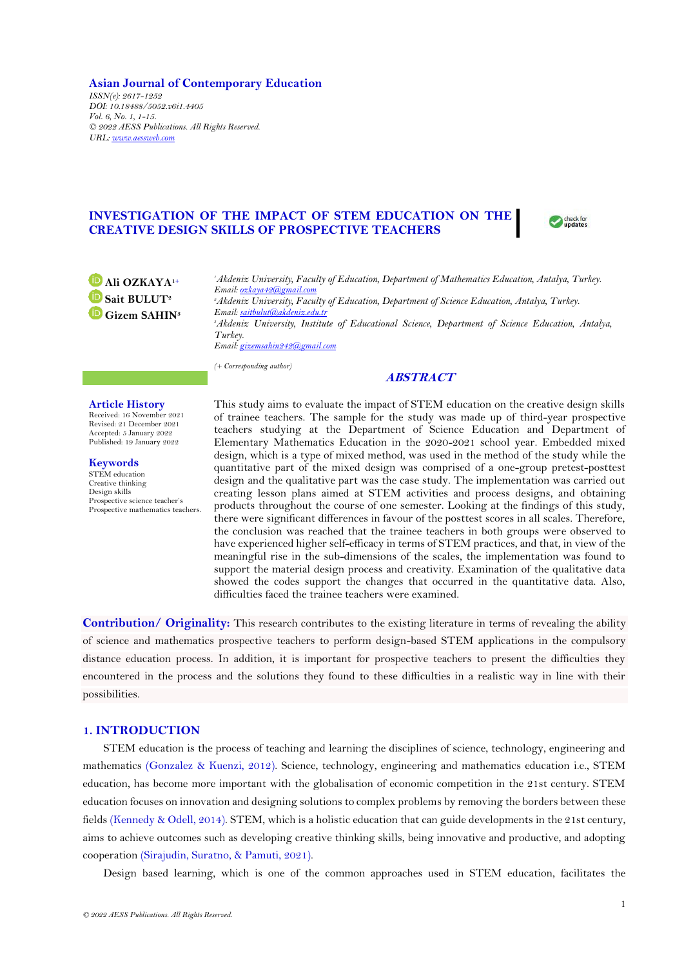**Asian Journal of Contemporary Education** *ISSN(e): 2617-1252 DOI: 10.18488/5052.v6i1.4405 Vol. 6, No. 1, 1-15. © 2022 AESS Publications. All Rights Reserved. URL[: www.aessweb.com](http://www.aessweb.com/)*

# **INVESTIGATION OF THE IMPACT OF STEM EDUCATION ON THE CREATIVE DESIGN SKILLS OF PROSPECTIVE TEACHERS**



**Ali OZKAYA1+ Sait BULUT<sup>2</sup> Gizem SAHIN<sup>3</sup>** *<sup>1</sup>Akdeniz University, Faculty of Education, Department of Mathematics Education, Antalya, Turkey. Email[: ozkaya42@gmail.com](mailto:ozkaya42@gmail.com) <sup>2</sup>Akdeniz University, Faculty of Education, Department of Science Education, Antalya, Turkey. Email[: saitbulut@akdeniz.edu.tr](mailto:saitbulut@akdeniz.edu.tr) <sup>3</sup>Akdeniz University, Institute of Educational Science, Department of Science Education, Antalya, Turkey. Email[: gizemsahin242@gmail.com](mailto:gizemsahin242@gmail.com)*

*(+ Corresponding author)*

# **ABSTRACT**

#### **Article History**

Received: 16 November 2021 Revised: 21 December 2021 Accepted: 5 January 2022 Published: 19 January 2022

**Keywords** STEM education Creative thinking Design skills Prospective science teacher's Prospective mathematics teachers. This study aims to evaluate the impact of STEM education on the creative design skills of trainee teachers. The sample for the study was made up of third-year prospective teachers studying at the Department of Science Education and Department of Elementary Mathematics Education in the 2020-2021 school year. Embedded mixed design, which is a type of mixed method, was used in the method of the study while the quantitative part of the mixed design was comprised of a one-group pretest-posttest design and the qualitative part was the case study. The implementation was carried out creating lesson plans aimed at STEM activities and process designs, and obtaining products throughout the course of one semester. Looking at the findings of this study, there were significant differences in favour of the posttest scores in all scales. Therefore, the conclusion was reached that the trainee teachers in both groups were observed to have experienced higher self-efficacy in terms of STEM practices, and that, in view of the meaningful rise in the sub-dimensions of the scales, the implementation was found to support the material design process and creativity. Examination of the qualitative data showed the codes support the changes that occurred in the quantitative data. Also, difficulties faced the trainee teachers were examined.

**Contribution/ Originality:** This research contributes to the existing literature in terms of revealing the ability of science and mathematics prospective teachers to perform design-based STEM applications in the compulsory distance education process. In addition, it is important for prospective teachers to present the difficulties they encountered in the process and the solutions they found to these difficulties in a realistic way in line with their possibilities.

### **1. INTRODUCTION**

STEM education is the process of teaching and learning the disciplines of science, technology, engineering and mathematics [\(Gonzalez & Kuenzi, 2012\)](#page-13-0). Science, technology, engineering and mathematics education i.e., STEM education, has become more important with the globalisation of economic competition in the 21st century. STEM education focuses on innovation and designing solutions to complex problems by removing the borders between these fields [\(Kennedy & Odell, 2014\)](#page-13-1). STEM, which is a holistic education that can guide developments in the 21st century, aims to achieve outcomes such as developing creative thinking skills, being innovative and productive, and adopting cooperation [\(Sirajudin, Suratno, & Pamuti, 2021\)](#page-14-0).

Design based learning, which is one of the common approaches used in STEM education, facilitates the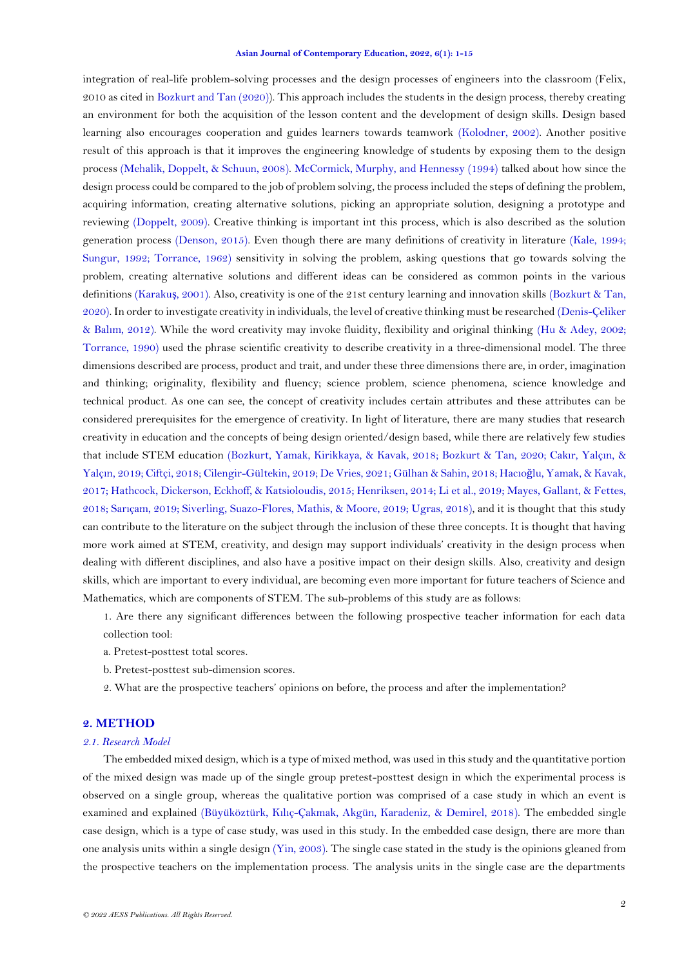integration of real-life problem-solving processes and the design processes of engineers into the classroom (Felix, 2010 as cited i[n Bozkurt and Tan \(2020\)](#page-12-0)). This approach includes the students in the design process, thereby creating an environment for both the acquisition of the lesson content and the development of design skills. Design based learning also encourages cooperation and guides learners towards teamwork [\(Kolodner, 2002\)](#page-13-2). Another positive result of this approach is that it improves the engineering knowledge of students by exposing them to the design process [\(Mehalik, Doppelt, & Schuun, 2008\)](#page-13-3). [McCormick, Murphy, and Hennessy \(1994\)](#page-13-3) talked about how since the design process could be compared to the job of problem solving, the process included the steps of defining the problem, acquiring information, creating alternative solutions, picking an appropriate solution, designing a prototype and reviewing [\(Doppelt, 2009\)](#page-13-4). Creative thinking is important int this process, which is also described as the solution generation process [\(Denson, 2015\)](#page-13-5). Even though there are many definitions of creativity in literature [\(Kale, 1994;](#page-13-6) [Sungur, 1992;](#page-14-1) [Torrance, 1962\)](#page-14-2) sensitivity in solving the problem, asking questions that go towards solving the problem, creating alternative solutions and different ideas can be considered as common points in the various definitions [\(Karaku](#page-13-7)ş, 2001). Also, creativity is one of the 21st century learning and innovation skills [\(Bozkurt & Tan,](#page-12-0)  [2020\)](#page-12-0). In order to investigate creativity in individuals, the level of creative thinking must be researched [\(Denis-Çeliker](#page-13-8)  & Balı[m, 2012\)](#page-13-8). While the word creativity may invoke fluidity, flexibility and original thinking [\(Hu & Adey, 2002;](#page-13-9) [Torrance, 1990\)](#page-14-3) used the phrase scientific creativity to describe creativity in a three-dimensional model. The three dimensions described are process, product and trait, and under these three dimensions there are, in order, imagination and thinking; originality, flexibility and fluency; science problem, science phenomena, science knowledge and technical product. As one can see, the concept of creativity includes certain attributes and these attributes can be considered prerequisites for the emergence of creativity. In light of literature, there are many studies that research creativity in education and the concepts of being design oriented/design based, while there are relatively few studies that include STEM education [\(Bozkurt, Yamak, Kirikkaya, & Kavak, 2018;](#page-12-1) [Bozkurt & Tan, 2020;](#page-12-0) Cakı[r, Yalç](#page-12-2)ın, & Yalçı[n, 2019;](#page-12-2) [Ciftçi, 2018; Cilengir-Gültekin, 2019; De Vries, 2021;](#page-12-3) [Gülhan & Sahin, 2018;](#page-13-10) Hacıoğ[lu, Yamak, & Kavak,](#page-13-11)  [2017;](#page-13-11) [Hathcock, Dickerson, Eckhoff, & Katsioloudis, 2015;](#page-13-12) [Henriksen, 2014;](#page-13-13) [Li et al., 2019; Mayes, Gallant, & Fettes,](#page-13-3)  [2018;](#page-13-3) Sarıç[am, 2019;](#page-14-4) [Siverling, Suazo-Flores, Mathis, & Moore, 2019;](#page-14-5) [Ugras, 2018\)](#page-14-6), and it is thought that this study can contribute to the literature on the subject through the inclusion of these three concepts. It is thought that having more work aimed at STEM, creativity, and design may support individuals' creativity in the design process when dealing with different disciplines, and also have a positive impact on their design skills. Also, creativity and design skills, which are important to every individual, are becoming even more important for future teachers of Science and Mathematics, which are components of STEM. The sub-problems of this study are as follows:

1. Are there any significant differences between the following prospective teacher information for each data collection tool:

- a. Pretest-posttest total scores.
- b. Pretest-posttest sub-dimension scores.
- 2. What are the prospective teachers' opinions on before, the process and after the implementation?

# **2. METHOD**

# *2.1. Research Model*

The embedded mixed design, which is a type of mixed method, was used in this study and the quantitative portion of the mixed design was made up of the single group pretest-posttest design in which the experimental process is observed on a single group, whereas the qualitative portion was comprised of a case study in which an event is examined and explained (Büyüköztürk, Kılıç[-Çakmak, Akgün, Karadeniz, & Demirel, 2018\)](#page-12-4). The embedded single case design, which is a type of case study, was used in this study. In the embedded case design, there are more than one analysis units within a single design [\(Yin, 2003\)](#page-14-7). The single case stated in the study is the opinions gleaned from the prospective teachers on the implementation process. The analysis units in the single case are the departments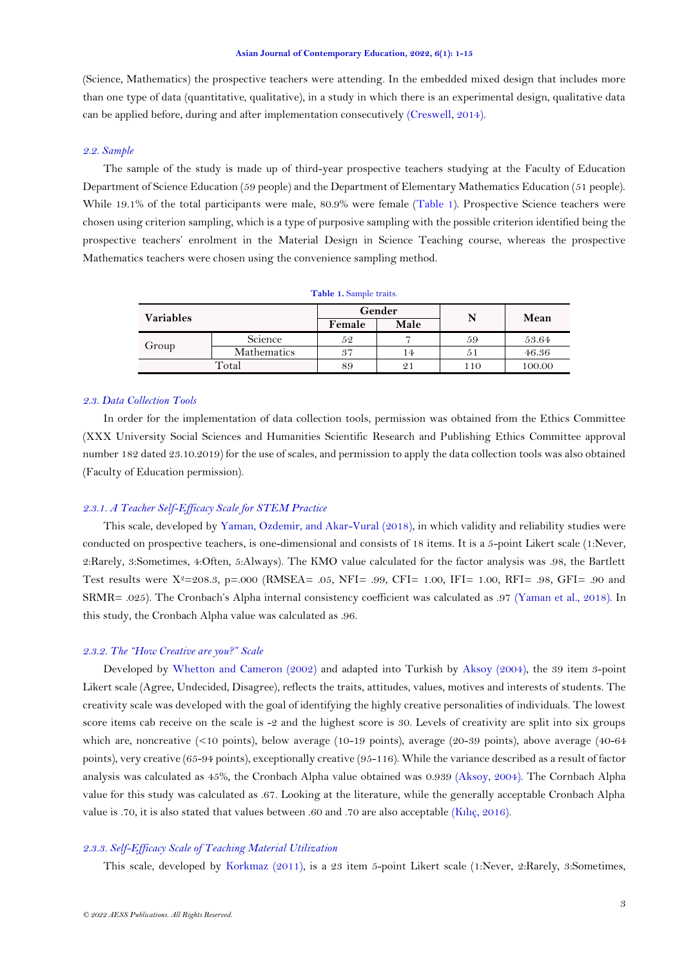(Science, Mathematics) the prospective teachers were attending. In the embedded mixed design that includes more than one type of data (quantitative, qualitative), in a study in which there is an experimental design, qualitative data can be applied before, during and after implementation consecutively [\(Creswell, 2014\)](#page-12-3).

### *2.2. Sample*

The sample of the study is made up of third-year prospective teachers studying at the Faculty of Education Department of Science Education (59 people) and the Department of Elementary Mathematics Education (51 people). While 19.1% of the total participants were male, 80.9% were female [\(Table 1\)](#page-2-0). Prospective Science teachers were chosen using criterion sampling, which is a type of purposive sampling with the possible criterion identified being the prospective teachers' enrolment in the Material Design in Science Teaching course, whereas the prospective Mathematics teachers were chosen using the convenience sampling method.

<span id="page-2-0"></span>

| <b>Variables</b> |             |        | Gender         | N   | Mean   |
|------------------|-------------|--------|----------------|-----|--------|
|                  |             | Female | Male           |     |        |
| Group            | Science     | 52     |                | 59  | 53.64  |
|                  | Mathematics | 37     | 14             | 51  | 46.36  |
| Total            |             | 89     | $\overline{2}$ | 110 | 100.00 |

**Table 1.** Sample traits.

### *2.3. Data Collection Tools*

In order for the implementation of data collection tools, permission was obtained from the Ethics Committee (XXX University Social Sciences and Humanities Scientific Research and Publishing Ethics Committee approval number 182 dated 23.10.2019) for the use of scales, and permission to apply the data collection tools was also obtained (Faculty of Education permission).

## *2.3.1. A Teacher Self-Efficacy Scale for STEM Practice*

This scale, developed by [Yaman, Ozdemir, and Akar-Vural \(2018\)](#page-14-8), in which validity and reliability studies were conducted on prospective teachers, is one-dimensional and consists of 18 items. It is a 5-point Likert scale (1:Never, 2:Rarely, 3:Sometimes, 4:Often, 5:Always). The KMO value calculated for the factor analysis was .98, the Bartlett Test results were  $X^2=208.3$ , p=.000 (RMSEA= .05, NFI= .99, CFI= 1.00, IFI= 1.00, RFI= .98, GFI= .90 and SRMR= .025). The Cronbach's Alpha internal consistency coefficient was calculated as .97 [\(Yaman et al., 2018\)](#page-14-8). In this study, the Cronbach Alpha value was calculated as .96.

### *2.3.2. The "How Creative are you?" Scale*

Developed by [Whetton and Cameron \(2002\)](#page-14-9) and adapted into Turkish by [Aksoy \(2004\)](#page-12-5), the 39 item 3-point Likert scale (Agree, Undecided, Disagree), reflects the traits, attitudes, values, motives and interests of students. The creativity scale was developed with the goal of identifying the highly creative personalities of individuals. The lowest score items cab receive on the scale is -2 and the highest score is 30. Levels of creativity are split into six groups which are, noncreative (<10 points), below average (10-19 points), average (20-39 points), above average (40-64 points), very creative (65-94 points), exceptionally creative (95-116). While the variance described as a result of factor analysis was calculated as 45%, the Cronbach Alpha value obtained was 0.939 [\(Aksoy, 2004\)](#page-12-5). The Cornbach Alpha value for this study was calculated as .67. Looking at the literature, while the generally acceptable Cronbach Alpha value is .70, it is also stated that values between .60 and .70 are also acceptable (Kılıç[, 2016\)](#page-13-14).

# *2.3.3. Self-Efficacy Scale of Teaching Material Utilization*

This scale, developed by [Korkmaz \(2011\)](#page-13-15), is a 23 item 5-point Likert scale (1:Never, 2:Rarely, 3:Sometimes,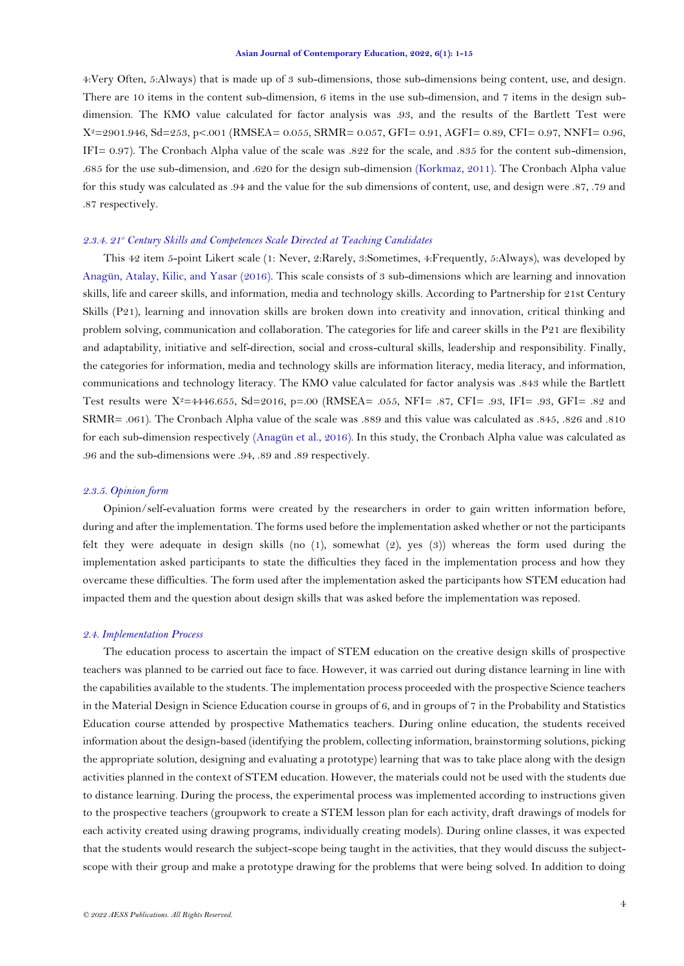4:Very Often, 5:Always) that is made up of 3 sub-dimensions, those sub-dimensions being content, use, and design. There are 10 items in the content sub-dimension, 6 items in the use sub-dimension, and 7 items in the design subdimension. The KMO value calculated for factor analysis was .93, and the results of the Bartlett Test were X2=2901.946, Sd=253, p<.001 (RMSEA= 0.055, SRMR= 0.057, GFI= 0.91, AGFI= 0.89, CFI= 0.97, NNFI= 0.96, IFI= 0.97). The Cronbach Alpha value of the scale was .822 for the scale, and .835 for the content sub-dimension, .685 for the use sub-dimension, and .620 for the design sub-dimension [\(Korkmaz, 2011\)](#page-13-15). The Cronbach Alpha value for this study was calculated as .94 and the value for the sub dimensions of content, use, and design were .87, .79 and .87 respectively.

#### *2.3.4. 21st Century Skills and Competences Scale Directed at Teaching Candidates*

This 42 item 5-point Likert scale (1: Never, 2:Rarely, 3:Sometimes, 4:Frequently, 5:Always), was developed by [Anagün, Atalay, Kilic, and Yasar \(2016\)](#page-12-6). This scale consists of 3 sub-dimensions which are learning and innovation skills, life and career skills, and information, media and technology skills. According to Partnership for 21st Century Skills (P21), learning and innovation skills are broken down into creativity and innovation, critical thinking and problem solving, communication and collaboration. The categories for life and career skills in the P21 are flexibility and adaptability, initiative and self-direction, social and cross-cultural skills, leadership and responsibility. Finally, the categories for information, media and technology skills are information literacy, media literacy, and information, communications and technology literacy. The KMO value calculated for factor analysis was .843 while the Bartlett Test results were  $X^2=4446.655$ ,  $Sd=2016$ ,  $p=.00$  (RMSEA= .055, NFI= .87, CFI= .93, IFI= .93, GFI= .82 and SRMR= .061). The Cronbach Alpha value of the scale was .889 and this value was calculated as .845, .826 and .810 for each sub-dimension respectively [\(Anagün et al., 2016\)](#page-12-6). In this study, the Cronbach Alpha value was calculated as .96 and the sub-dimensions were .94, .89 and .89 respectively.

### *2.3.5. Opinion form*

Opinion/self-evaluation forms were created by the researchers in order to gain written information before, during and after the implementation. The forms used before the implementation asked whether or not the participants felt they were adequate in design skills (no (1), somewhat (2), yes (3)) whereas the form used during the implementation asked participants to state the difficulties they faced in the implementation process and how they overcame these difficulties. The form used after the implementation asked the participants how STEM education had impacted them and the question about design skills that was asked before the implementation was reposed.

### *2.4. Implementation Process*

The education process to ascertain the impact of STEM education on the creative design skills of prospective teachers was planned to be carried out face to face. However, it was carried out during distance learning in line with the capabilities available to the students. The implementation process proceeded with the prospective Science teachers in the Material Design in Science Education course in groups of 6, and in groups of 7 in the Probability and Statistics Education course attended by prospective Mathematics teachers. During online education, the students received information about the design-based (identifying the problem, collecting information, brainstorming solutions, picking the appropriate solution, designing and evaluating a prototype) learning that was to take place along with the design activities planned in the context of STEM education. However, the materials could not be used with the students due to distance learning. During the process, the experimental process was implemented according to instructions given to the prospective teachers (groupwork to create a STEM lesson plan for each activity, draft drawings of models for each activity created using drawing programs, individually creating models). During online classes, it was expected that the students would research the subject-scope being taught in the activities, that they would discuss the subjectscope with their group and make a prototype drawing for the problems that were being solved. In addition to doing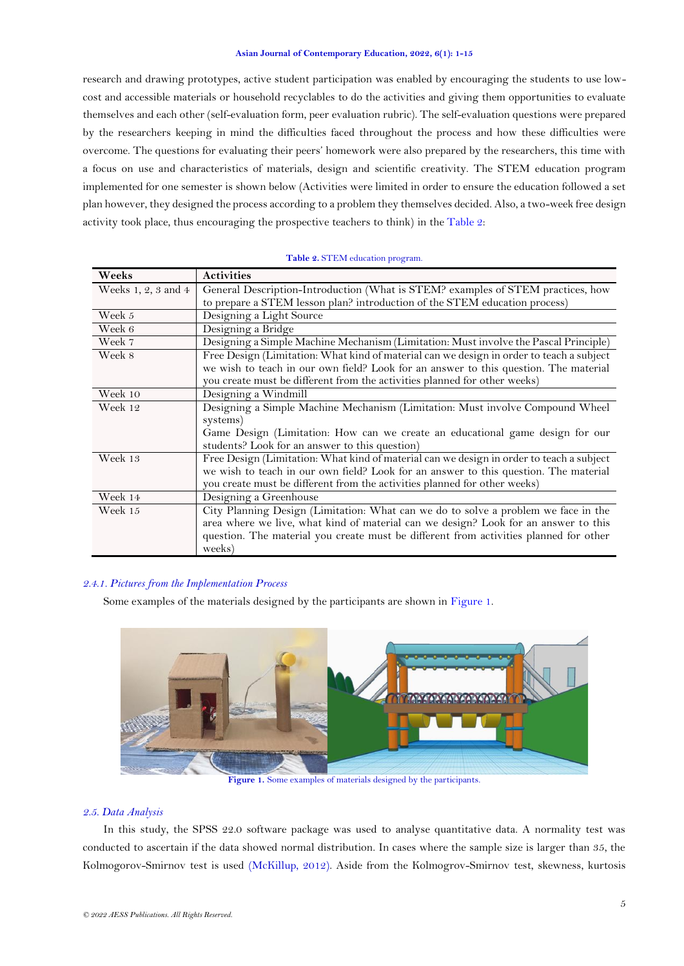research and drawing prototypes, active student participation was enabled by encouraging the students to use lowcost and accessible materials or household recyclables to do the activities and giving them opportunities to evaluate themselves and each other (self-evaluation form, peer evaluation rubric). The self-evaluation questions were prepared by the researchers keeping in mind the difficulties faced throughout the process and how these difficulties were overcome. The questions for evaluating their peers' homework were also prepared by the researchers, this time with a focus on use and characteristics of materials, design and scientific creativity. The STEM education program implemented for one semester is shown below (Activities were limited in order to ensure the education followed a set plan however, they designed the process according to a problem they themselves decided. Also, a two-week free design activity took place, thus encouraging the prospective teachers to think) in the [Table 2:](#page-4-0)

<span id="page-4-0"></span>

| Weeks               | <b>Activities</b>                                                                                                                                                                                                                                                            |
|---------------------|------------------------------------------------------------------------------------------------------------------------------------------------------------------------------------------------------------------------------------------------------------------------------|
| Weeks 1, 2, 3 and 4 | General Description-Introduction (What is STEM? examples of STEM practices, how<br>to prepare a STEM lesson plan? introduction of the STEM education process)                                                                                                                |
| Week 5              | Designing a Light Source                                                                                                                                                                                                                                                     |
| Week 6              | Designing a Bridge                                                                                                                                                                                                                                                           |
| Week 7              | Designing a Simple Machine Mechanism (Limitation: Must involve the Pascal Principle)                                                                                                                                                                                         |
| Week 8              | Free Design (Limitation: What kind of material can we design in order to teach a subject<br>we wish to teach in our own field? Look for an answer to this question. The material<br>you create must be different from the activities planned for other weeks)                |
| Week 10             | Designing a Windmill                                                                                                                                                                                                                                                         |
| Week 12             | Designing a Simple Machine Mechanism (Limitation: Must involve Compound Wheel<br>systems)<br>Game Design (Limitation: How can we create an educational game design for our<br>students? Look for an answer to this question)                                                 |
| Week 13             | Free Design (Limitation: What kind of material can we design in order to teach a subject<br>we wish to teach in our own field? Look for an answer to this question. The material<br>you create must be different from the activities planned for other weeks)                |
| Week 14             | Designing a Greenhouse                                                                                                                                                                                                                                                       |
| Week 15             | City Planning Design (Limitation: What can we do to solve a problem we face in the<br>area where we live, what kind of material can we design? Look for an answer to this<br>question. The material you create must be different from activities planned for other<br>weeks) |

### **Table 2.** STEM education program.

### *2.4.1. Pictures from the Implementation Process*

Some examples of the materials designed by the participants are shown in [Figure](#page-4-1) 1.



**Figure 1.** Some examples of materials designed by the participants.

## <span id="page-4-1"></span>*2.5. Data Analysis*

In this study, the SPSS 22.0 software package was used to analyse quantitative data. A normality test was conducted to ascertain if the data showed normal distribution. In cases where the sample size is larger than 35, the Kolmogorov-Smirnov test is used [\(McKillup, 2012\)](#page-13-3). Aside from the Kolmogrov-Smirnov test, skewness, kurtosis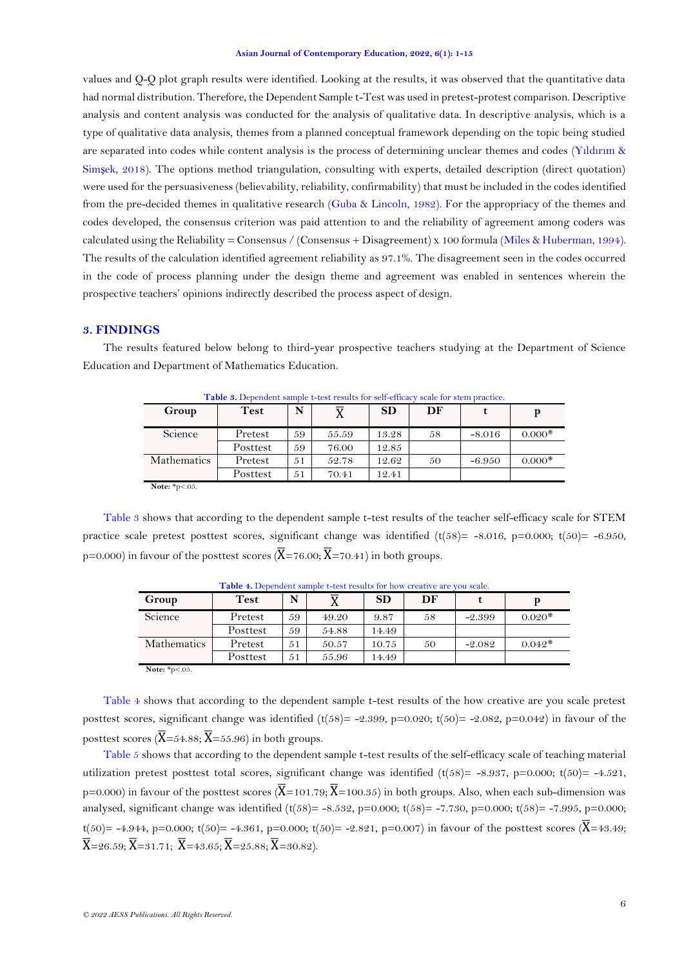values and Q-Q plot graph results were identified. Looking at the results, it was observed that the quantitative data had normal distribution. Therefore, the Dependent Sample t-Test was used in pretest-protest comparison. Descriptive analysis and content analysis was conducted for the analysis of qualitative data. In descriptive analysis, which is a type of qualitative data analysis, themes from a planned conceptual framework depending on the topic being studied are separated into codes while content analysis is the process of determining unclear themes and codes (Yıldırı[m &](#page-14-10)  Simş[ek, 2018\)](#page-14-10). The options method triangulation, consulting with experts, detailed description (direct quotation) were used for the persuasiveness (believability, reliability, confirmability) that must be included in the codes identified from the pre-decided themes in qualitative research [\(Guba & Lincoln, 1982\)](#page-13-16). For the appropriacy of the themes and codes developed, the consensus criterion was paid attention to and the reliability of agreement among coders was calculated using the Reliability = Consensus / (Consensus + Disagreement) x 100 formula [\(Miles & Huberman, 1994\)](#page-14-11). The results of the calculation identified agreement reliability as 97.1%. The disagreement seen in the codes occurred in the code of process planning under the design theme and agreement was enabled in sentences wherein the prospective teachers' opinions indirectly described the process aspect of design.

# **3. FINDINGS**

<span id="page-5-0"></span>The results featured below belong to third-year prospective teachers studying at the Department of Science Education and Department of Mathematics Education.

| Group                             | <b>Test</b> | N  |       | <b>SD</b> | DF |          | р        |
|-----------------------------------|-------------|----|-------|-----------|----|----------|----------|
| Science                           | Pretest     | 59 | 55.59 | 13.28     | 58 | $-8.016$ | $0.000*$ |
|                                   | Posttest    | 59 | 76.00 | 12.85     |    |          |          |
| <b>Mathematics</b>                | Pretest     | 51 | 52.78 | 12.62     | 50 | $-6.950$ | $0.000*$ |
|                                   | Posttest    | 51 | 70.41 | 12.41     |    |          |          |
| $N$ oto $\frac{1}{2}n \times 0.5$ |             |    |       |           |    |          |          |

**Table 3.** Dependent sample t-test results for self-efficacy scale for stem practice.

**Note:** \*p<.05.

[Table 3](#page-5-0) shows that according to the dependent sample t-test results of the teacher self-efficacy scale for STEM practice scale pretest posttest scores, significant change was identified  $(t(58) = -8.016, p=0.000; t(50) = -6.950,$ p=0.000) in favour of the posttest scores ( $\overline{X}$ =76.00;  $\overline{X}$ =70.41) in both groups.

<span id="page-5-1"></span>

|                            | <b>THORE IS LOCKEROID BUILDING CORPORATION IN THE MUNICIPALITY</b> |    |       |           |    | , ou ovare. |          |
|----------------------------|--------------------------------------------------------------------|----|-------|-----------|----|-------------|----------|
| Group                      | <b>Test</b>                                                        | N  |       | <b>SD</b> | DF |             |          |
| Science                    | Pretest                                                            | 59 | 49.20 | 9.87      | 58 | $-2.399$    | $0.020*$ |
|                            | Posttest                                                           | 59 | 54.88 | 14.49     |    |             |          |
| <b>Mathematics</b>         | Pretest                                                            | 51 | 50.57 | 10.75     | 50 | $-2.082$    | $0.042*$ |
|                            | Posttest                                                           | 51 | 55.96 | 14.49     |    |             |          |
| <b>Note:</b> $*_{p<.05}$ . |                                                                    |    |       |           |    |             |          |

Table 4. Dependent sample t-test results for how creative are you scale.

[Table 4](#page-5-1) shows that according to the dependent sample t-test results of the how creative are you scale pretest posttest scores, significant change was identified  $(t(58) = -2.399, p=0.020; t(50) = -2.082, p=0.042)$  in favour of the posttest scores  $(\overline{X} = 54.88; \overline{X} = 55.96)$  in both groups.

<span id="page-5-2"></span>[Table 5](#page-5-2) shows that according to the dependent sample t-test results of the self-efficacy scale of teaching material utilization pretest posttest total scores, significant change was identified (t(58)= -8.937, p=0.000; t(50)= -4.521, p=0.000) in favour of the posttest scores ( $\overline{X}$ =101.79;  $\overline{X}$ =100.35) in both groups. Also, when each sub-dimension was analysed, significant change was identified  $(t(58) = -8.532, p=0.000; t(58) = -7.730, p=0.000; t(58) = -7.995, p=0.000; t(58) = -7.995$ t(50)= -4.944, p=0.000; t(50)= -4.361, p=0.000; t(50)= -2.821, p=0.007) in favour of the posttest scores ( $\overline{X}$ =43.49;  $\overline{X}$ =26.59;  $\overline{X}$ =31.71;  $\overline{X}$ =43.65;  $\overline{X}$ =25.88;  $\overline{X}$ =30.82).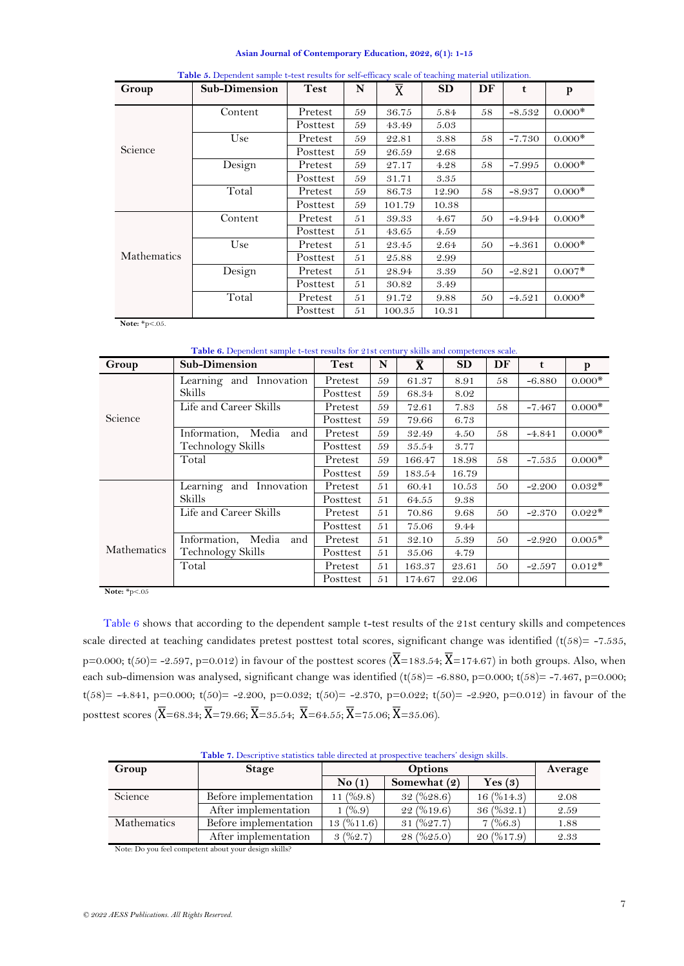<span id="page-6-2"></span>

| Group              | Sub-Dimension | <b>Test</b> | N  | $\overline{X}$ | <b>SD</b> | DF | $\mathbf t$ | p        |
|--------------------|---------------|-------------|----|----------------|-----------|----|-------------|----------|
|                    | Content       | Pretest     | 59 | 36.75          | 5.84      | 58 | $-8.532$    | $0.000*$ |
|                    |               | Posttest    | 59 | 43.49          | 5.03      |    |             |          |
|                    | Use           | Pretest     | 59 | 22.81          | 3.88      | 58 | $-7.730$    | $0.000*$ |
| Science            |               | Posttest    | 59 | 26.59          | 2.68      |    |             |          |
|                    | Design        | Pretest     | 59 | 27.17          | 4.28      | 58 | $-7.995$    | $0.000*$ |
|                    |               | Posttest    | 59 | 31.71          | 3.35      |    |             |          |
|                    | Total         | Pretest     | 59 | 86.73          | 12.90     | 58 | $-8.937$    | $0.000*$ |
|                    |               | Posttest    | 59 | 101.79         | 10.38     |    |             |          |
|                    | Content       | Pretest     | 51 | 39.33          | 4.67      | 50 | $-4.944$    | $0.000*$ |
|                    |               | Posttest    | 51 | 43.65          | 4.59      |    |             |          |
|                    | Use           | Pretest     | 51 | 23.45          | 2.64      | 50 | $-4.361$    | $0.000*$ |
| <b>Mathematics</b> |               | Posttest    | 51 | 25.88          | 2.99      |    |             |          |
|                    | Design        | Pretest     | 51 | 28.94          | 3.39      | 50 | $-2.821$    | $0.007*$ |
|                    |               | Posttest    | 51 | 30.82          | 3.49      |    |             |          |
|                    | Total         | Pretest     | 51 | 91.72          | 9.88      | 50 | $-4.521$    | $0.000*$ |
|                    |               | Posttest    | 51 | 100.35         | 10.31     |    |             |          |

| Table 5. Dependent sample t-test results for self-efficacy scale of teaching material utilization |  |  |
|---------------------------------------------------------------------------------------------------|--|--|
|                                                                                                   |  |  |

**Note:** \*p<.05.

**Table 6.** Dependent sample t-test results for 21st century skills and competences scale.

<span id="page-6-0"></span>

| Group       | <b>Sub-Dimension</b>      | <b>Test</b> | N  | $\bar{\mathbf{X}}$ | <b>SD</b> | DF | t        | p        |
|-------------|---------------------------|-------------|----|--------------------|-----------|----|----------|----------|
|             | Learning and Innovation   | Pretest     | 59 | 61.37              | 8.91      | 58 | $-6.880$ | $0.000*$ |
|             | <b>Skills</b>             | Posttest    | 59 | 68.34              | 8.02      |    |          |          |
|             | Life and Career Skills    | Pretest     | 59 | 72.61              | 7.83      | 58 | $-7.467$ | $0.000*$ |
| Science     |                           | Posttest    | 59 | 79.66              | 6.73      |    |          |          |
|             | Information, Media<br>and | Pretest     | 59 | 32.49              | 4.50      | 58 | $-4.841$ | $0.000*$ |
|             | Technology Skills         | Posttest    | 59 | 35.54              | 3.77      |    |          |          |
|             | Total                     | Pretest     | 59 | 166.47             | 18.98     | 58 | $-7.535$ | $0.000*$ |
|             |                           | Posttest    | 59 | 183.54             | 16.79     |    |          |          |
|             | Learning and Innovation   | Pretest     | 51 | 60.41              | 10.53     | 50 | $-2.200$ | $0.032*$ |
|             | <b>Skills</b>             | Posttest    | 51 | 64.55              | 9.38      |    |          |          |
|             | Life and Career Skills    | Pretest     | 51 | 70.86              | 9.68      | 50 | $-2.370$ | $0.022*$ |
|             |                           | Posttest    | 51 | 75.06              | 9.44      |    |          |          |
|             | Information, Media<br>and | Pretest     | 51 | 32.10              | 5.39      | 50 | $-2.920$ | $0.005*$ |
| Mathematics | Technology Skills         | Posttest    | 51 | 35.06              | 4.79      |    |          |          |
|             | Total                     | Pretest     | 51 | 163.37             | 23.61     | 50 | $-2.597$ | $0.012*$ |
|             |                           | Posttest    | 51 | 174.67             | 22.06     |    |          |          |

**Note:** \*p<.05

[Table 6](#page-6-0) shows that according to the dependent sample t-test results of the 21st century skills and competences scale directed at teaching candidates pretest posttest total scores, significant change was identified  $(t(58) = -7.535$ , p=0.000; t(50)= -2.597, p=0.012) in favour of the posttest scores ( $\overline{X}$ =183.54;  $\overline{X}$ =174.67) in both groups. Also, when each sub-dimension was analysed, significant change was identified  $(t(58)= -6.880, p=0.000; t(58)= -7.467, p=0.000;$ t(58)= -4.841, p=0.000; t(50)= -2.200, p=0.032; t(50)= -2.370, p=0.022; t(50)= -2.920, p=0.012) in favour of the posttest scores ( $\overline{X}$ =68.34;  $\overline{X}$ =79.66;  $\overline{X}$ =35.54;  $\overline{X}$ =64.55;  $\overline{X}$ =75.06;  $\overline{X}$ =35.06).

**Table 7.** Descriptive statistics table directed at prospective teachers' design skills.

<span id="page-6-1"></span>

| Group              | <b>Stage</b>          |              | <b>Options</b>   |                                     |      |  |  |  |
|--------------------|-----------------------|--------------|------------------|-------------------------------------|------|--|--|--|
|                    |                       | No(1)        | Somewhat (2)     | Yes $(3)$                           |      |  |  |  |
| Science            | Before implementation | 11 $(\%9.8)$ | $32 \ ( \%28.6)$ | 16(%14.3)                           | 2.08 |  |  |  |
|                    | After implementation  | $1\ (%, 9)$  | 22(%19.6)        | $36 \left( \frac{9}{6}32.1 \right)$ | 2.59 |  |  |  |
| <b>Mathematics</b> | Before implementation | 13(%11.6)    | 31(%27.7)        | 7(%6.3)                             | 1.88 |  |  |  |
|                    | After implementation  | 3(962.7)     | 28(%25.0)        | 20(%17.9)                           | 2.33 |  |  |  |

Note: Do you feel competent about your design skills?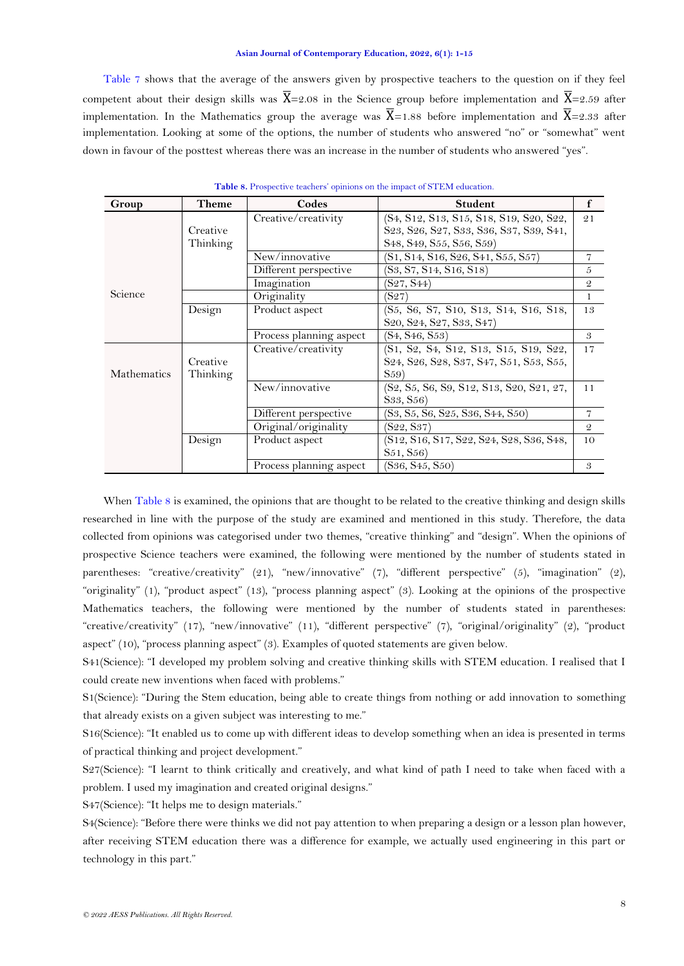[Table 7](#page-6-1) shows that the average of the answers given by prospective teachers to the question on if they feel competent about their design skills was  $\overline{X} = 2.08$  in the Science group before implementation and  $\overline{X} = 2.59$  after implementation. In the Mathematics group the average was  $\overline{X}$ =1.88 before implementation and  $\overline{X}$ =2.33 after implementation. Looking at some of the options, the number of students who answered "no" or "somewhat" went down in favour of the posttest whereas there was an increase in the number of students who answered "yes".

| Group       | Theme                | Codes                   | <b>Student</b>                                                                                                                                                                  | $\mathbf f$    |
|-------------|----------------------|-------------------------|---------------------------------------------------------------------------------------------------------------------------------------------------------------------------------|----------------|
|             | Creative<br>Thinking | Creative/creativity     | (S4, S12, S13, S15, S18, S19, S20, S22,<br>S23, S26, S27, S33, S36, S37, S39, S41,<br>S <sub>48</sub> , S <sub>49</sub> , S <sub>55</sub> , S <sub>56</sub> , S <sub>59</sub> ) | 21             |
|             |                      | New/innovative          | (S1, S14, S16, S26, S41, S55, S57)                                                                                                                                              | $\overline{7}$ |
|             |                      | Different perspective   | (S3, S7, S14, S16, S18)                                                                                                                                                         | 5              |
|             |                      | Imagination             | (S27, S44)                                                                                                                                                                      | $\mathcal{Q}$  |
| Science     |                      | Originality             | (S27)                                                                                                                                                                           | $\mathbf{1}$   |
|             | Design               | Product aspect          | (S5, S6, S7, S10, S13, S14, S16, S18,<br>S <sub>20</sub> , S <sub>24</sub> , S <sub>27</sub> , S <sub>33</sub> , S <sub>47</sub> )                                              | 13             |
|             |                      | Process planning aspect | (S4, S46, S53)                                                                                                                                                                  | 3              |
| Mathematics | Creative<br>Thinking | Creative/creativity     | (S1, S2, S4, S12, S13, S15, S19, S22,<br>S24, S26, S28, S37, S47, S51, S53, S55,<br>S <sub>59</sub>                                                                             | 17             |
|             |                      | New/innovative          | (S2, S5, S6, S9, S12, S13, S20, S21, 27,<br>S <sub>33</sub> , S <sub>56</sub> )                                                                                                 | 11             |
|             |                      | Different perspective   | (S3, S5, S6, S25, S36, S44, S50)                                                                                                                                                | 7              |
|             |                      | Original/originality    | (S22, S37)                                                                                                                                                                      | $\mathcal{Q}$  |
|             | Design               | Product aspect          | (S12, S16, S17, S22, S24, S28, S36, S48,<br>S51, S56)                                                                                                                           | 10             |
|             |                      | Process planning aspect | (S36, S45, S50)                                                                                                                                                                 | 3              |

**Table 8.** Prospective teachers' opinions on the impact of STEM education.

When [Table 8](#page-6-2) is examined, the opinions that are thought to be related to the creative thinking and design skills researched in line with the purpose of the study are examined and mentioned in this study. Therefore, the data collected from opinions was categorised under two themes, "creative thinking" and "design". When the opinions of prospective Science teachers were examined, the following were mentioned by the number of students stated in parentheses: "creative/creativity" (21), "new/innovative" (7), "different perspective" (5), "imagination" (2), "originality" (1), "product aspect" (13), "process planning aspect" (3). Looking at the opinions of the prospective Mathematics teachers, the following were mentioned by the number of students stated in parentheses: "creative/creativity" (17), "new/innovative" (11), "different perspective" (7), "original/originality" (2), "product aspect" (10), "process planning aspect" (3). Examples of quoted statements are given below.

S41(Science): "I developed my problem solving and creative thinking skills with STEM education. I realised that I could create new inventions when faced with problems."

S1(Science): "During the Stem education, being able to create things from nothing or add innovation to something that already exists on a given subject was interesting to me."

S16(Science): "It enabled us to come up with different ideas to develop something when an idea is presented in terms of practical thinking and project development."

S27(Science): "I learnt to think critically and creatively, and what kind of path I need to take when faced with a problem. I used my imagination and created original designs."

S47(Science): "It helps me to design materials."

S4(Science): "Before there were thinks we did not pay attention to when preparing a design or a lesson plan however, after receiving STEM education there was a difference for example, we actually used engineering in this part or technology in this part."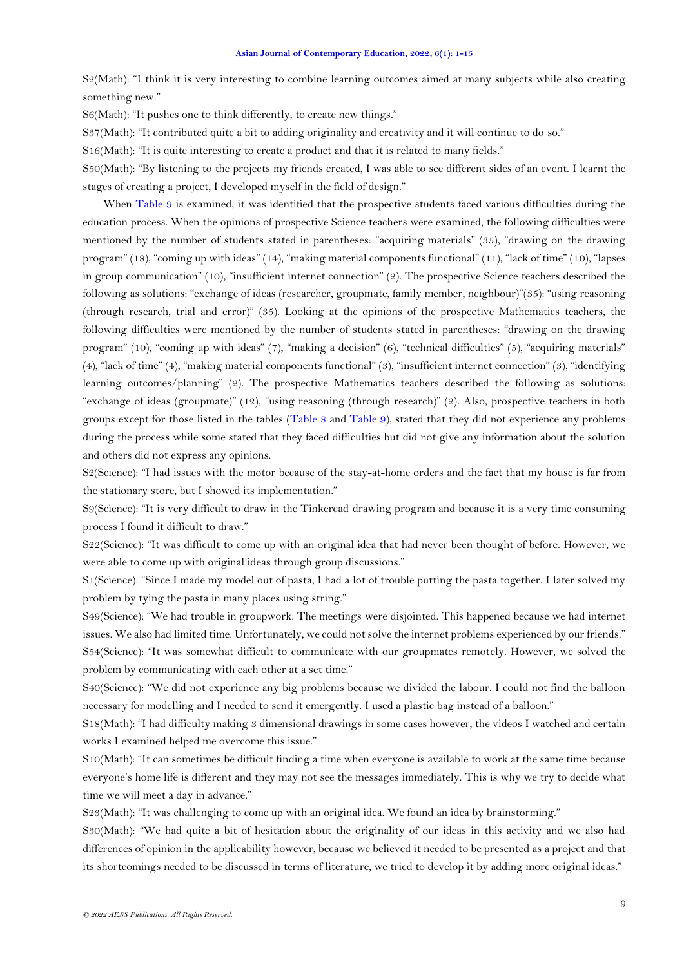<span id="page-8-0"></span>S2(Math): "I think it is very interesting to combine learning outcomes aimed at many subjects while also creating something new."

S6(Math): "It pushes one to think differently, to create new things."

S37(Math): "It contributed quite a bit to adding originality and creativity and it will continue to do so."

S16(Math): "It is quite interesting to create a product and that it is related to many fields."

S50(Math): "By listening to the projects my friends created, I was able to see different sides of an event. I learnt the stages of creating a project, I developed myself in the field of design."

When [Table 9](#page-8-0) is examined, it was identified that the prospective students faced various difficulties during the education process. When the opinions of prospective Science teachers were examined, the following difficulties were mentioned by the number of students stated in parentheses: "acquiring materials" (35), "drawing on the drawing program" (18), "coming up with ideas" (14), "making material components functional" (11), "lack of time" (10), "lapses in group communication" (10), "insufficient internet connection" (2). The prospective Science teachers described the following as solutions: "exchange of ideas (researcher, groupmate, family member, neighbour)"(35): "using reasoning (through research, trial and error)" (35). Looking at the opinions of the prospective Mathematics teachers, the following difficulties were mentioned by the number of students stated in parentheses: "drawing on the drawing program" (10), "coming up with ideas" (7), "making a decision" (6), "technical difficulties" (5), "acquiring materials" (4), "lack of time" (4), "making material components functional" (3), "insufficient internet connection" (3), "identifying learning outcomes/planning" (2). The prospective Mathematics teachers described the following as solutions: "exchange of ideas (groupmate)" (12), "using reasoning (through research)" (2). Also, prospective teachers in both groups except for those listed in the tables [\(Table 8](#page-6-2) and [Table 9\)](#page-8-0), stated that they did not experience any problems during the process while some stated that they faced difficulties but did not give any information about the solution and others did not express any opinions.

S2(Science): "I had issues with the motor because of the stay-at-home orders and the fact that my house is far from the stationary store, but I showed its implementation."

S9(Science): "It is very difficult to draw in the Tinkercad drawing program and because it is a very time consuming process I found it difficult to draw."

S22(Science): "It was difficult to come up with an original idea that had never been thought of before. However, we were able to come up with original ideas through group discussions."

S1(Science): "Since I made my model out of pasta, I had a lot of trouble putting the pasta together. I later solved my problem by tying the pasta in many places using string."

S49(Science): "We had trouble in groupwork. The meetings were disjointed. This happened because we had internet issues. We also had limited time. Unfortunately, we could not solve the internet problems experienced by our friends." S54(Science): "It was somewhat difficult to communicate with our groupmates remotely. However, we solved the problem by communicating with each other at a set time."

S40(Science): "We did not experience any big problems because we divided the labour. I could not find the balloon necessary for modelling and I needed to send it emergently. I used a plastic bag instead of a balloon."

S18(Math): "I had difficulty making 3 dimensional drawings in some cases however, the videos I watched and certain works I examined helped me overcome this issue."

S10(Math): "It can sometimes be difficult finding a time when everyone is available to work at the same time because everyone's home life is different and they may not see the messages immediately. This is why we try to decide what time we will meet a day in advance."

S23(Math): "It was challenging to come up with an original idea. We found an idea by brainstorming."

S30(Math): "We had quite a bit of hesitation about the originality of our ideas in this activity and we also had differences of opinion in the applicability however, because we believed it needed to be presented as a project and that its shortcomings needed to be discussed in terms of literature, we tried to develop it by adding more original ideas."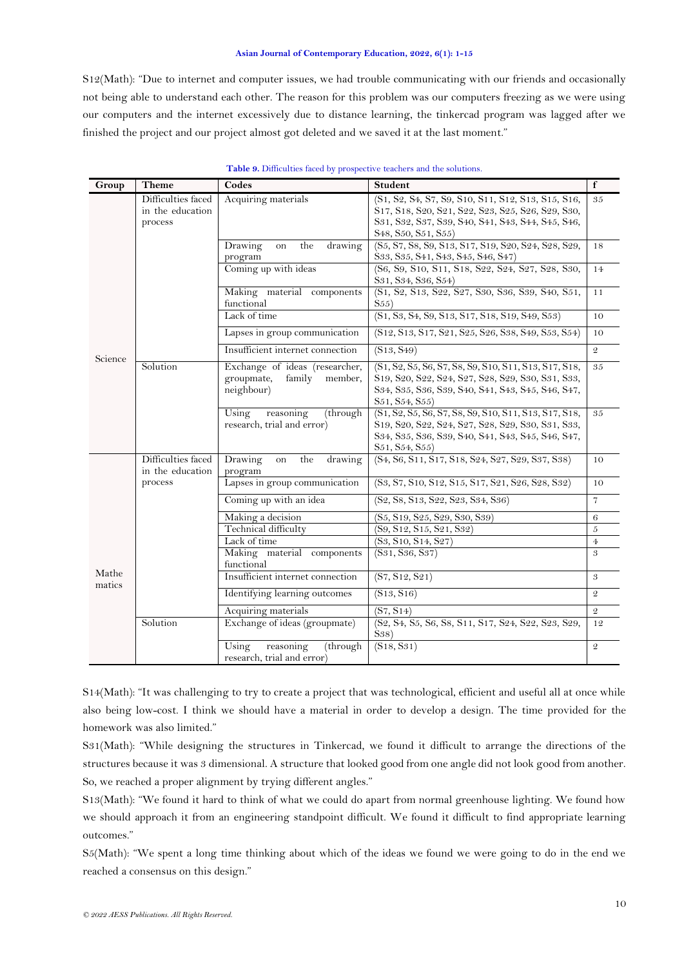S12(Math): "Due to internet and computer issues, we had trouble communicating with our friends and occasionally not being able to understand each other. The reason for this problem was our computers freezing as we were using our computers and the internet excessively due to distance learning, the tinkercad program was lagged after we finished the project and our project almost got deleted and we saved it at the last moment."

| Group           | <b>Theme</b>       | Codes                                    | <b>Student</b>                                                                                                                                                                      | $\mathbf f$    |
|-----------------|--------------------|------------------------------------------|-------------------------------------------------------------------------------------------------------------------------------------------------------------------------------------|----------------|
|                 | Difficulties faced | Acquiring materials                      | (S1, S2, S4, S7, S9, S10, S11, S12, S13, S15, S16,                                                                                                                                  | 35             |
|                 | in the education   |                                          | S17, S18, S20, S21, S22, S23, S25, S26, S29, S30,                                                                                                                                   |                |
|                 | process            |                                          | S31, S32, S37, S39, S40, S41, S43, S44, S45, S46,                                                                                                                                   |                |
|                 |                    |                                          | S <sub>48</sub> , S <sub>50</sub> , S <sub>51</sub> , S <sub>55</sub> )                                                                                                             |                |
|                 |                    | Drawing<br>the<br>drawing<br>on          | (S5, S7, S8, S9, S13, S17, S19, S20, S24, S28, S29,                                                                                                                                 | 18             |
|                 |                    | program                                  | S33, S35, S41, S43, S45, S46, S47)                                                                                                                                                  |                |
|                 |                    | Coming up with ideas                     | (S6, S9, S10, S11, S18, S22, S24, S27, S28, S30,<br>S31, S34, S36, S54)                                                                                                             | 14             |
|                 |                    | Making material components<br>functional | (S1, S2, S13, S22, S27, S30, S36, S39, S40, S51,<br>S <sub>55</sub>                                                                                                                 | 11             |
|                 |                    | Lack of time                             | (S1, S3, S4, S9, S13, S17, S18, S19, S49, S53)                                                                                                                                      | 10             |
|                 |                    | Lapses in group communication            | (S12, S13, S17, S21, S25, S26, S38, S49, S53, S54)                                                                                                                                  | 10             |
| Science         |                    | Insufficient internet connection         | (S13, S49)                                                                                                                                                                          | $\mathfrak{D}$ |
|                 | Solution           | Exchange of ideas (researcher,           | (S1, S2, S5, S6, S7, S8, S9, S10, S11, S13, S17, S18,                                                                                                                               | 35             |
|                 |                    | groupmate,<br>family<br>member,          | S <sub>19</sub> , S <sub>20</sub> , S <sub>22</sub> , S <sub>24</sub> , S <sub>27</sub> , S <sub>28</sub> , S <sub>29</sub> , S <sub>30</sub> , S <sub>31</sub> , S <sub>33</sub> , |                |
|                 |                    | neighbour)                               | S34, S35, S36, S39, S40, S41, S43, S45, S46, S47,                                                                                                                                   |                |
|                 |                    |                                          | S51, S54, S55)                                                                                                                                                                      |                |
|                 |                    | Using<br>reasoning<br>(through           | (S1, S2, S5, S6, S7, S8, S9, S10, S11, S13, S17, S18,                                                                                                                               | 35             |
|                 |                    | research, trial and error)               | S19, S20, S22, S24, S27, S28, S29, S30, S31, S33,                                                                                                                                   |                |
|                 |                    |                                          | S34, S35, S36, S39, S40, S41, S43, S45, S46, S47,<br>S51, S54, S55)                                                                                                                 |                |
|                 | Difficulties faced | Drawing<br>the<br>drawing<br>on          | (S4, S6, S11, S17, S18, S24, S27, S29, S37, S38)                                                                                                                                    | 10             |
|                 | in the education   | program                                  |                                                                                                                                                                                     |                |
|                 | process            | Lapses in group communication            | $(S3, S7, S10, S12, S15, S17, S21, S26, S28, S32)$                                                                                                                                  | 10             |
|                 |                    | Coming up with an idea                   | (S2, S8, S13, S22, S23, S34, S36)                                                                                                                                                   | $\overline{7}$ |
|                 |                    | Making a decision                        | (S5, S19, S25, S29, S30, S39)                                                                                                                                                       | 6              |
|                 |                    | Technical difficulty                     | (S9, S12, S15, S21, S32)                                                                                                                                                            | 5              |
|                 |                    | Lack of time                             | (S3, S10, S14, S27)                                                                                                                                                                 | $\overline{4}$ |
|                 |                    | Making material components               | (S31, S36, S37)                                                                                                                                                                     | 3              |
|                 |                    | functional                               |                                                                                                                                                                                     |                |
| Mathe<br>matics |                    | Insufficient internet connection         | (S7, S12, S21)                                                                                                                                                                      | 3              |
|                 |                    | Identifying learning outcomes            | (S13, S16)                                                                                                                                                                          | $\mathfrak{D}$ |
|                 |                    | Acquiring materials                      | (S7, S14)                                                                                                                                                                           | $\mathfrak{D}$ |
|                 | Solution           | Exchange of ideas (groupmate)            | (S2, S4, S5, S6, S8, S11, S17, S24, S22, S23, S29,<br>S38)                                                                                                                          | 12             |
|                 |                    | Using<br>reasoning<br>(through           | (S18, S31)                                                                                                                                                                          | $\mathcal{Q}$  |
|                 |                    | research, trial and error)               |                                                                                                                                                                                     |                |

### **Table 9.** Difficulties faced by prospective teachers and the solutions.

S14(Math): "It was challenging to try to create a project that was technological, efficient and useful all at once while also being low-cost. I think we should have a material in order to develop a design. The time provided for the homework was also limited."

S31(Math): "While designing the structures in Tinkercad, we found it difficult to arrange the directions of the structures because it was 3 dimensional. A structure that looked good from one angle did not look good from another. So, we reached a proper alignment by trying different angles."

S13(Math): "We found it hard to think of what we could do apart from normal greenhouse lighting. We found how we should approach it from an engineering standpoint difficult. We found it difficult to find appropriate learning outcomes."

S5(Math): "We spent a long time thinking about which of the ideas we found we were going to do in the end we reached a consensus on this design."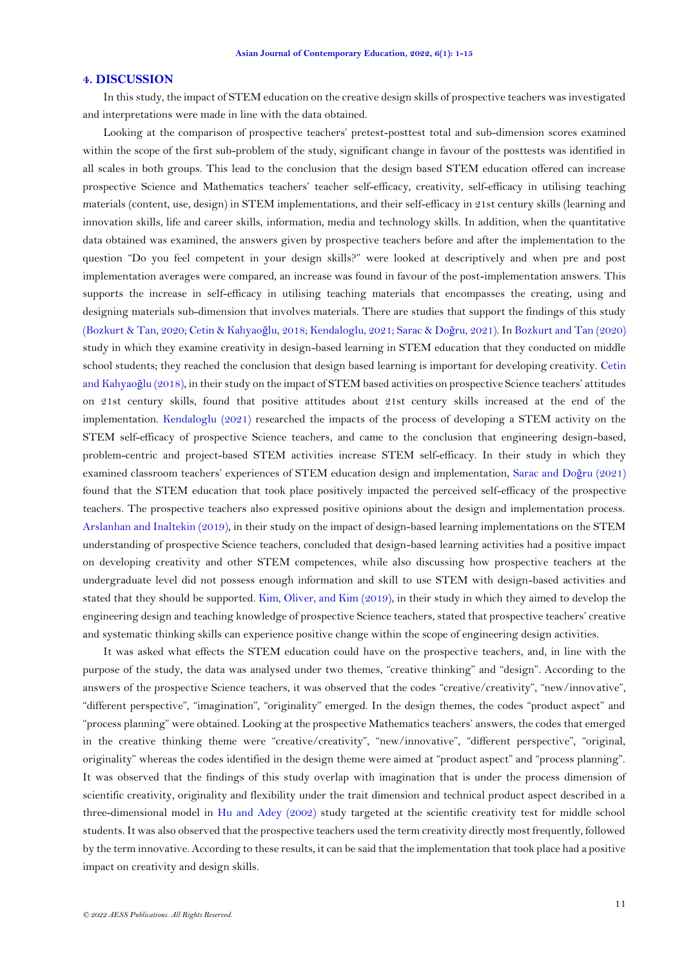### **4. DISCUSSION**

In this study, the impact of STEM education on the creative design skills of prospective teachers was investigated and interpretations were made in line with the data obtained.

Looking at the comparison of prospective teachers' pretest-posttest total and sub-dimension scores examined within the scope of the first sub-problem of the study, significant change in favour of the posttests was identified in all scales in both groups. This lead to the conclusion that the design based STEM education offered can increase prospective Science and Mathematics teachers' teacher self-efficacy, creativity, self-efficacy in utilising teaching materials (content, use, design) in STEM implementations, and their self-efficacy in 21st century skills (learning and innovation skills, life and career skills, information, media and technology skills. In addition, when the quantitative data obtained was examined, the answers given by prospective teachers before and after the implementation to the question "Do you feel competent in your design skills?" were looked at descriptively and when pre and post implementation averages were compared, an increase was found in favour of the post-implementation answers. This supports the increase in self-efficacy in utilising teaching materials that encompasses the creating, using and designing materials sub-dimension that involves materials. There are studies that support the findings of this study [\(Bozkurt & Tan, 2020;](#page-12-0) [Cetin & Kahyao](#page-12-3)ğlu, 2018; [Kendaloglu, 2021;](#page-13-17) [Sarac & Do](#page-14-12)ğru, 2021). In Bozkurt [and Tan \(2020\)](#page-12-0) study in which they examine creativity in design-based learning in STEM education that they conducted on middle school students; they reached the conclusion that design based learning is important for developing creativity. [Cetin](#page-12-3)  [and Kahyao](#page-12-3)ğlu (2018), in their study on the impact of STEM based activities on prospective Science teachers' attitudes on 21st century skills, found that positive attitudes about 21st century skills increased at the end of the implementation. [Kendaloglu \(2021\)](#page-13-17) researched the impacts of the process of developing a STEM activity on the STEM self-efficacy of prospective Science teachers, and came to the conclusion that engineering design-based, problem-centric and project-based STEM activities increase STEM self-efficacy. In their study in which they examined classroom teachers' experiences of STEM education design and implementation, [Sarac and Do](#page-14-12)ğru (2021) found that the STEM education that took place positively impacted the perceived self-efficacy of the prospective teachers. The prospective teachers also expressed positive opinions about the design and implementation process. [Arslanhan and Inaltekin \(2019\)](#page-12-7), in their study on the impact of design-based learning implementations on the STEM understanding of prospective Science teachers, concluded that design-based learning activities had a positive impact on developing creativity and other STEM competences, while also discussing how prospective teachers at the undergraduate level did not possess enough information and skill to use STEM with design-based activities and stated that they should be supported. [Kim, Oliver, and Kim \(2019\)](#page-13-18), in their study in which they aimed to develop the engineering design and teaching knowledge of prospective Science teachers, stated that prospective teachers' creative and systematic thinking skills can experience positive change within the scope of engineering design activities.

It was asked what effects the STEM education could have on the prospective teachers, and, in line with the purpose of the study, the data was analysed under two themes, "creative thinking" and "design". According to the answers of the prospective Science teachers, it was observed that the codes "creative/creativity", "new/innovative", "different perspective", "imagination", "originality" emerged. In the design themes, the codes "product aspect" and "process planning" were obtained. Looking at the prospective Mathematics teachers' answers, the codes that emerged in the creative thinking theme were "creative/creativity", "new/innovative", "different perspective", "original, originality" whereas the codes identified in the design theme were aimed at "product aspect" and "process planning". It was observed that the findings of this study overlap with imagination that is under the process dimension of scientific creativity, originality and flexibility under the trait dimension and technical product aspect described in a three-dimensional model in [Hu and Adey \(2002\)](#page-13-9) study targeted at the scientific creativity test for middle school students. It was also observed that the prospective teachers used the term creativity directly most frequently, followed by the term innovative. According to these results, it can be said that the implementation that took place had a positive impact on creativity and design skills.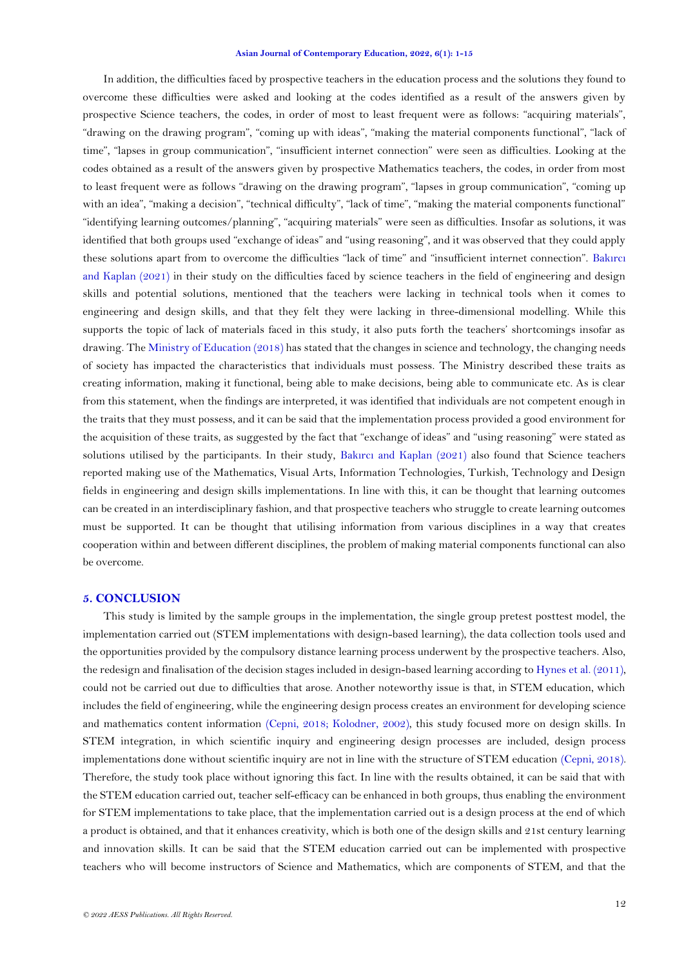In addition, the difficulties faced by prospective teachers in the education process and the solutions they found to overcome these difficulties were asked and looking at the codes identified as a result of the answers given by prospective Science teachers, the codes, in order of most to least frequent were as follows: "acquiring materials", "drawing on the drawing program", "coming up with ideas", "making the material components functional", "lack of time", "lapses in group communication", "insufficient internet connection" were seen as difficulties. Looking at the codes obtained as a result of the answers given by prospective Mathematics teachers, the codes, in order from most to least frequent were as follows "drawing on the drawing program", "lapses in group communication", "coming up with an idea", "making a decision", "technical difficulty", "lack of time", "making the material components functional" "identifying learning outcomes/planning", "acquiring materials" were seen as difficulties. Insofar as solutions, it was identified that both groups used "exchange of ideas" and "using reasoning", and it was observed that they could apply these solutions apart from to overcome the difficulties "lack of time" and "insufficient internet connection". [Bak](#page-12-8)ırcı [and Kaplan \(2021\)](#page-12-8) in their study on the difficulties faced by science teachers in the field of engineering and design skills and potential solutions, mentioned that the teachers were lacking in technical tools when it comes to engineering and design skills, and that they felt they were lacking in three-dimensional modelling. While this supports the topic of lack of materials faced in this study, it also puts forth the teachers' shortcomings insofar as drawing. The [Ministry of Education \(2018\)](#page-14-13) has stated that the changes in science and technology, the changing needs of society has impacted the characteristics that individuals must possess. The Ministry described these traits as creating information, making it functional, being able to make decisions, being able to communicate etc. As is clear from this statement, when the findings are interpreted, it was identified that individuals are not competent enough in the traits that they must possess, and it can be said that the implementation process provided a good environment for the acquisition of these traits, as suggested by the fact that "exchange of ideas" and "using reasoning" were stated as solutions utilised by the participants. In their study, Bakırcı [and Kaplan \(2021\)](#page-12-8) also found that Science teachers reported making use of the Mathematics, Visual Arts, Information Technologies, Turkish, Technology and Design fields in engineering and design skills implementations. In line with this, it can be thought that learning outcomes can be created in an interdisciplinary fashion, and that prospective teachers who struggle to create learning outcomes must be supported. It can be thought that utilising information from various disciplines in a way that creates cooperation within and between different disciplines, the problem of making material components functional can also be overcome.

### **5. CONCLUSION**

This study is limited by the sample groups in the implementation, the single group pretest posttest model, the implementation carried out (STEM implementations with design-based learning), the data collection tools used and the opportunities provided by the compulsory distance learning process underwent by the prospective teachers. Also, the redesign and finalisation of the decision stages included in design-based learning according to [Hynes et al. \(2011\)](#page-13-19), could not be carried out due to difficulties that arose. Another noteworthy issue is that, in STEM education, which includes the field of engineering, while the engineering design process creates an environment for developing science and mathematics content information [\(Cepni, 2018;](#page-12-9) [Kolodner, 2002\)](#page-13-2), this study focused more on design skills. In STEM integration, in which scientific inquiry and engineering design processes are included, design process implementations done without scientific inquiry are not in line with the structure of STEM education [\(Cepni, 2018\)](#page-12-9). Therefore, the study took place without ignoring this fact. In line with the results obtained, it can be said that with the STEM education carried out, teacher self-efficacy can be enhanced in both groups, thus enabling the environment for STEM implementations to take place, that the implementation carried out is a design process at the end of which a product is obtained, and that it enhances creativity, which is both one of the design skills and 21st century learning and innovation skills. It can be said that the STEM education carried out can be implemented with prospective teachers who will become instructors of Science and Mathematics, which are components of STEM, and that the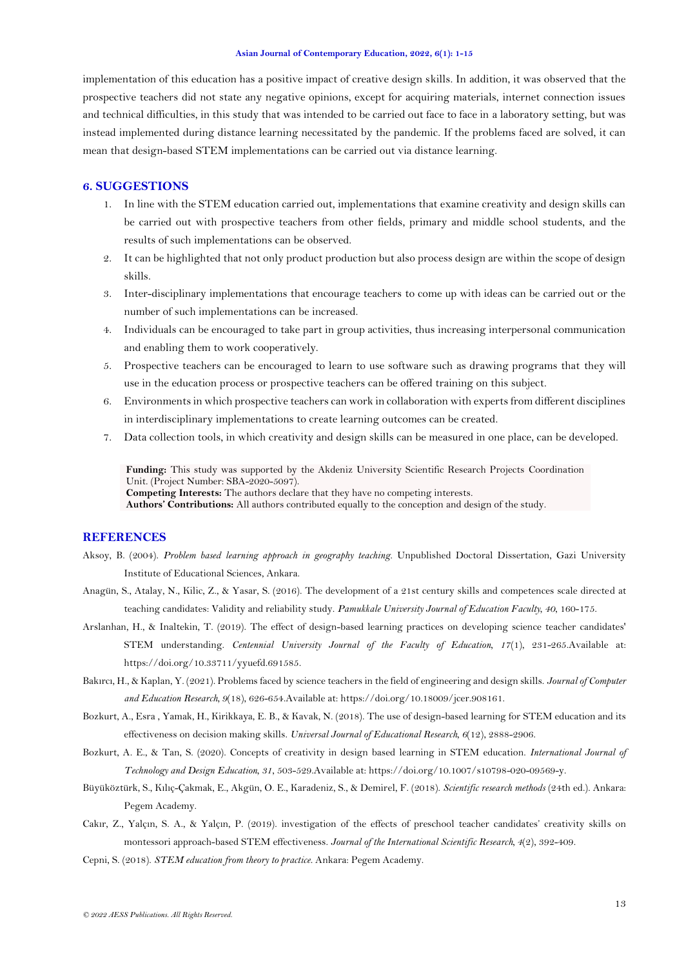<span id="page-12-3"></span>implementation of this education has a positive impact of creative design skills. In addition, it was observed that the prospective teachers did not state any negative opinions, except for acquiring materials, internet connection issues and technical difficulties, in this study that was intended to be carried out face to face in a laboratory setting, but was instead implemented during distance learning necessitated by the pandemic. If the problems faced are solved, it can mean that design-based STEM implementations can be carried out via distance learning.

## **6. SUGGESTIONS**

- 1. In line with the STEM education carried out, implementations that examine creativity and design skills can be carried out with prospective teachers from other fields, primary and middle school students, and the results of such implementations can be observed.
- 2. It can be highlighted that not only product production but also process design are within the scope of design skills.
- 3. Inter-disciplinary implementations that encourage teachers to come up with ideas can be carried out or the number of such implementations can be increased.
- 4. Individuals can be encouraged to take part in group activities, thus increasing interpersonal communication and enabling them to work cooperatively.
- 5. Prospective teachers can be encouraged to learn to use software such as drawing programs that they will use in the education process or prospective teachers can be offered training on this subject.
- 6. Environments in which prospective teachers can work in collaboration with experts from different disciplines in interdisciplinary implementations to create learning outcomes can be created.
- 7. Data collection tools, in which creativity and design skills can be measured in one place, can be developed.

**Funding:** This study was supported by the Akdeniz University Scientific Research Projects Coordination Unit. (Project Number: SBA-2020-5097). **Competing Interests:** The authors declare that they have no competing interests.

**Authors' Contributions:** All authors contributed equally to the conception and design of the study.

# **REFERENCES**

- <span id="page-12-5"></span>Aksoy, B. (2004). *Problem based learning approach in geography teaching.* Unpublished Doctoral Dissertation, Gazi University Institute of Educational Sciences, Ankara.
- <span id="page-12-6"></span>Anagün, S., Atalay, N., Kilic, Z., & Yasar, S. (2016). The development of a 21st century skills and competences scale directed at teaching candidates: Validity and reliability study. *Pamukkale University Journal of Education Faculty, 40*, 160-175.
- <span id="page-12-7"></span>Arslanhan, H., & Inaltekin, T. (2019). The effect of design-based learning practices on developing science teacher candidates' STEM understanding. *Centennial University Journal of the Faculty of Education, 17*(1), 231-265.Available at: https://doi.org/10.33711/yyuefd.691585.
- <span id="page-12-8"></span>Bakırcı, H., & Kaplan, Y. (2021). Problems faced by science teachers in the field of engineering and design skills. *Journal of Computer and Education Research, 9*(18), 626-654.Available at: https://doi.org/10.18009/jcer.908161.
- <span id="page-12-1"></span>Bozkurt, A., Esra , Yamak, H., Kirikkaya, E. B., & Kavak, N. (2018). The use of design-based learning for STEM education and its effectiveness on decision making skills. *Universal Journal of Educational Research, 6*(12), 2888-2906.
- <span id="page-12-0"></span>Bozkurt, A. E., & Tan, S. (2020). Concepts of creativity in design based learning in STEM education. *International Journal of Technology and Design Education, 31*, 503-529.Available at: https://doi.org/10.1007/s10798-020-09569-y.
- <span id="page-12-4"></span>Büyüköztürk, S., Kılıç-Çakmak, E., Akgün, O. E., Karadeniz, S., & Demirel, F. (2018). *Scientific research methods* (24th ed.). Ankara: Pegem Academy.
- <span id="page-12-2"></span>Cakır, Z., Yalçın, S. A., & Yalçın, P. (2019). investigation of the effects of preschool teacher candidates' creativity skills on montessori approach-based STEM effectiveness. *Journal of the International Scientific Research, 4*(2), 392-409.
- <span id="page-12-9"></span>Cepni, S. (2018). *STEM education from theory to practice*. Ankara: Pegem Academy.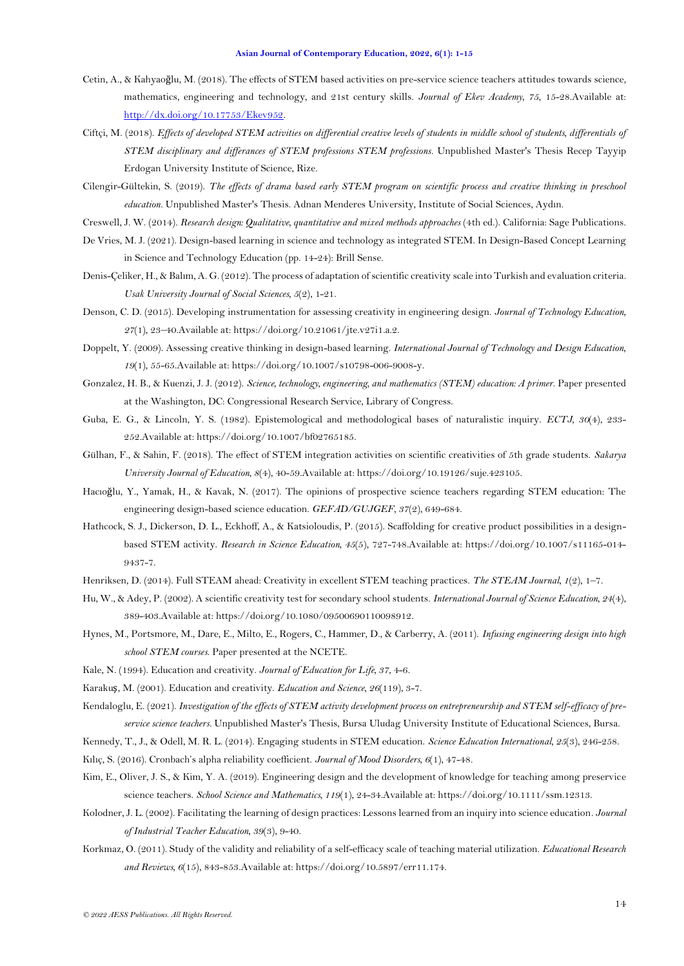- <span id="page-13-3"></span>Cetin, A., & Kahyaoğlu, M. (2018). The effects of STEM based activities on pre-service science teachers attitudes towards science, mathematics, engineering and technology, and 21st century skills. *Journal of Ekev Academy, 75*, 15-28.Available at: [http://dx.doi.org/10.17753/Ekev952.](http://dx.doi.org/10.17753/Ekev952)
- Ciftçi, M. (2018). *Effects of developed STEM activities on differential creative levels of students in middle school of students, differentials of STEM disciplinary and differances of STEM professions STEM professions.* Unpublished Master's Thesis Recep Tayyip Erdogan University Institute of Science, Rize.
- Cilengir-Gültekin, S. (2019). *The effects of drama based early STEM program on scientific process and creative thinking in preschool education.* Unpublished Master's Thesis. Adnan Menderes University, Institute of Social Sciences, Aydın.
- Creswell, J. W. (2014). *Research design: Qualitative, quantitative and mixed methods approaches* (4th ed.). California: Sage Publications.
- De Vries, M. J. (2021). Design-based learning in science and technology as integrated STEM. In Design-Based Concept Learning in Science and Technology Education (pp. 14-24): Brill Sense.
- <span id="page-13-8"></span>Denis-Çeliker, H., & Balım, A. G. (2012). The process of adaptation of scientific creativity scale into Turkish and evaluation criteria. *Usak University Journal of Social Sciences, 5*(2), 1-21.
- <span id="page-13-5"></span>Denson, C. D. (2015). Developing instrumentation for assessing creativity in engineering design. *Journal of Technology Education, 27*(1), 23–40.Available at: https://doi.org/10.21061/jte.v27i1.a.2.
- <span id="page-13-4"></span>Doppelt, Y. (2009). Assessing creative thinking in design-based learning. *International Journal of Technology and Design Education, 19*(1), 55-65.Available at: https://doi.org/10.1007/s10798-006-9008-y.
- <span id="page-13-0"></span>Gonzalez, H. B., & Kuenzi, J. J. (2012). *Science, technology, engineering, and mathematics (STEM) education: A primer*. Paper presented at the Washington, DC: Congressional Research Service, Library of Congress.
- <span id="page-13-16"></span>Guba, E. G., & Lincoln, Y. S. (1982). Epistemological and methodological bases of naturalistic inquiry. *ECTJ, 30*(4), 233- 252.Available at: https://doi.org/10.1007/bf02765185.
- <span id="page-13-10"></span>Gülhan, F., & Sahin, F. (2018). The effect of STEM integration activities on scientific creativities of 5th grade students. *Sakarya University Journal of Education, 8*(4), 40-59.Available at: https://doi.org/10.19126/suje.423105.
- <span id="page-13-11"></span>Hacıoğlu, Y., Yamak, H., & Kavak, N. (2017). The opinions of prospective science teachers regarding STEM education: The engineering design-based science education. *GEFAD/GUJGEF, 37*(2), 649-684.
- <span id="page-13-12"></span>Hathcock, S. J., Dickerson, D. L., Eckhoff, A., & Katsioloudis, P. (2015). Scaffolding for creative product possibilities in a designbased STEM activity. *Research in Science Education, 45*(5), 727-748.Available at: https://doi.org/10.1007/s11165-014- 9437-7.
- <span id="page-13-13"></span>Henriksen, D. (2014). Full STEAM ahead: Creativity in excellent STEM teaching practices. *The STEAM Journal, 1*(2), 1–7.
- <span id="page-13-9"></span>Hu, W., & Adey, P. (2002). A scientific creativity test for secondary school students. *International Journal of Science Education, 24*(4), 389-403.Available at: https://doi.org/10.1080/09500690110098912.
- <span id="page-13-19"></span>Hynes, M., Portsmore, M., Dare, E., Milto, E., Rogers, C., Hammer, D., & Carberry, A. (2011). *Infusing engineering design into high school STEM courses*. Paper presented at the NCETE.
- <span id="page-13-6"></span>Kale, N. (1994). Education and creativity. *Journal of Education for Life, 37*, 4-6.
- <span id="page-13-7"></span>Karakuş, M. (2001). Education and creativity. *Education and Science, 26*(119), 3-7.
- <span id="page-13-17"></span>Kendaloglu, E. (2021). *Investigation of the effects of STEM activity development process on entrepreneurship and STEM self-efficacy of preservice science teachers.* Unpublished Master's Thesis, Bursa Uludag University Institute of Educational Sciences, Bursa.
- <span id="page-13-14"></span><span id="page-13-1"></span>Kennedy, T., J., & Odell, M. R. L. (2014). Engaging students in STEM education. *Science Education International, 25*(3), 246-258. Kılıç, S. (2016). Cronbach's alpha reliability coefficient. *Journal of Mood Disorders, 6*(1), 47-48.
- <span id="page-13-18"></span>Kim, E., Oliver, J. S., & Kim, Y. A. (2019). Engineering design and the development of knowledge for teaching among preservice science teachers. *School Science and Mathematics, 119*(1), 24-34.Available at: https://doi.org/10.1111/ssm.12313.
- <span id="page-13-2"></span>Kolodner, J. L. (2002). Facilitating the learning of design practices: Lessons learned from an inquiry into science education. *Journal of Industrial Teacher Education, 39*(3), 9-40.
- <span id="page-13-15"></span>Korkmaz, O. (2011). Study of the validity and reliability of a self-efficacy scale of teaching material utilization. *Educational Research and Reviews, 6*(15), 843-853.Available at: https://doi.org/10.5897/err11.174.